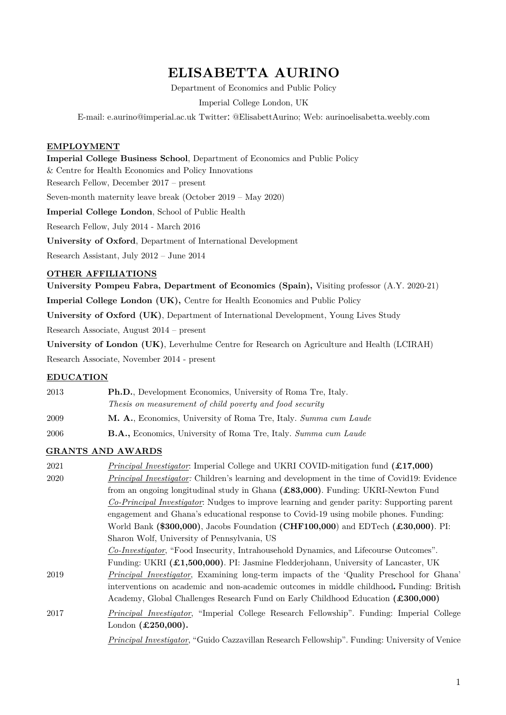# **ELISABETTA AURINO**

Department of Economics and Public Policy

Imperial College London, UK

E-mail: e.aurino@imperial.ac.uk Twitter: @ElisabettAurino; Web: aurinoelisabetta.weebly.com

#### **EMPLOYMENT**

**Imperial College Business School**, Department of Economics and Public Policy & Centre for Health Economics and Policy Innovations Research Fellow, December 2017 – present Seven-month maternity leave break (October 2019 – May 2020) **Imperial College London**, School of Public Health Research Fellow, July 2014 - March 2016

**University of Oxford**, Department of International Development

Research Assistant, July 2012 – June 2014

#### **OTHER AFFILIATIONS**

**University Pompeu Fabra, Department of Economics (Spain),** Visiting professor (A.Y. 2020-21) **Imperial College London (UK),** Centre for Health Economics and Public Policy

**University of Oxford (UK)**, Department of International Development, Young Lives Study

Research Associate, August 2014 – present

**University of London (UK)**, Leverhulme Centre for Research on Agriculture and Health (LCIRAH) Research Associate, November 2014 - present

## **EDUCATION**

2013 **Ph.D.**, Development Economics, University of Roma Tre, Italy. *Thesis on measurement of child poverty and food security* 2009 **M. A.**, Economics, University of Roma Tre, Italy. *Summa cum Laude*

2006 **B.A.,** Economics, University of Roma Tre, Italy. *Summa cum Laude*

## **GRANTS AND AWARDS**

| 2021 | <i>Principal Investigator</i> : Imperial College and UKRI COVID-mitigation fund $(£17,000)$            |
|------|--------------------------------------------------------------------------------------------------------|
| 2020 | <i>Principal Investigator:</i> Children's learning and development in the time of Covid19: Evidence    |
|      | from an ongoing longitudinal study in Ghana (£83,000). Funding: UKRI-Newton Fund                       |
|      | Co-Principal Investigator: Nudges to improve learning and gender parity: Supporting parent             |
|      | engagement and Ghana's educational response to Covid-19 using mobile phones. Funding:                  |
|      | World Bank (\$300,000), Jacobs Foundation (CHF100,000) and EDTech (£30,000). PI:                       |
|      | Sharon Wolf, University of Pennsylvania, US                                                            |
|      | Co-Investigator, "Food Insecurity, Intrahousehold Dynamics, and Lifecourse Outcomes".                  |
|      | Funding: UKRI (£1,500,000). PI: Jasmine Fledderjohann, University of Lancaster, UK                     |
| 2019 | <i>Principal Investigator</i> , Examining long-term impacts of the 'Quality Preschool for Ghana'       |
|      | interventions on academic and non-academic outcomes in middle childhood. Funding: British              |
|      | Academy, Global Challenges Research Fund on Early Childhood Education (£300,000)                       |
| 2017 | <i>Principal Investigator</i> , "Imperial College Research Fellowship". Funding: Imperial College      |
|      | London $(\pounds 250,000)$ .                                                                           |
|      | <i>Principal Investigator</i> , "Guido Cazzavillan Research Fellowship". Funding: University of Venice |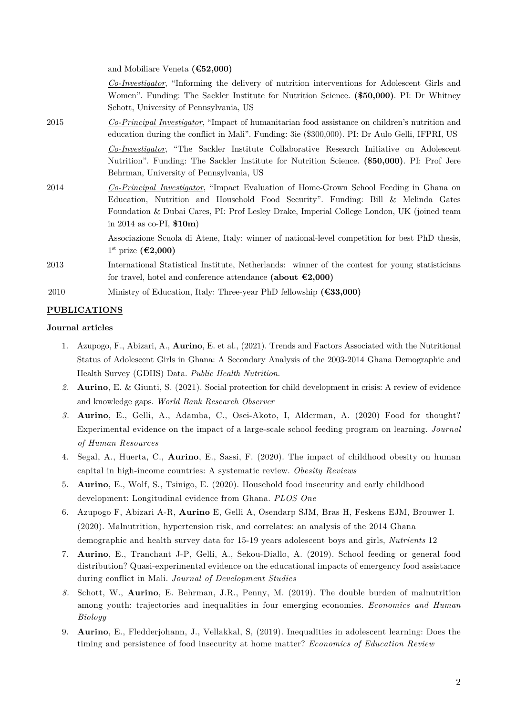and Mobiliare Veneta **(€52,000)**

*Co-Investigator*, "Informing the delivery of nutrition interventions for Adolescent Girls and Women". Funding: The Sackler Institute for Nutrition Science. **(\$50,000)**. PI: Dr Whitney Schott, University of Pennsylvania, US

2015 *Co-Principal Investigator*, "Impact of humanitarian food assistance on children's nutrition and education during the conflict in Mali". Funding: 3ie (\$300,000). PI: Dr Aulo Gelli, IFPRI, US

> *Co-Investigator*, "The Sackler Institute Collaborative Research Initiative on Adolescent Nutrition". Funding: The Sackler Institute for Nutrition Science. **(\$50,000)**. PI: Prof Jere Behrman, University of Pennsylvania, US

2014 *Co-Principal Investigator*, "Impact Evaluation of Home-Grown School Feeding in Ghana on Education, Nutrition and Household Food Security". Funding: Bill & Melinda Gates Foundation & Dubai Cares, PI: Prof Lesley Drake, Imperial College London, UK (joined team in 2014 as co-PI, **\$10m**)

> Associazione Scuola di Atene, Italy: winner of national-level competition for best PhD thesis, 1st prize **(€2,000)**

- 2013 International Statistical Institute, Netherlands: winner of the contest for young statisticians for travel, hotel and conference attendance **(about €2,000)**
- 2010 Ministry of Education, Italy: Three-year PhD fellowship **(€33,000)**

## **PUBLICATIONS**

#### **Journal articles**

- 1. Azupogo, F., Abizari, A., **Aurino**, E. et al., (2021). Trends and Factors Associated with the Nutritional Status of Adolescent Girls in Ghana: A Secondary Analysis of the 2003-2014 Ghana Demographic and Health Survey (GDHS) Data. *Public Health Nutrition.*
- *2.* **Aurino**, E. & Giunti, S. (2021). Social protection for child development in crisis: A review of evidence and knowledge gaps. *World Bank Research Observer*
- *3.* **Aurino**, E., Gelli, A., Adamba, C., Osei-Akoto, I, Alderman, A. (2020) Food for thought? Experimental evidence on the impact of a large-scale school feeding program on learning. *Journal of Human Resources*
- 4. Segal, A., Huerta, C., **Aurino**, E., Sassi, F. (2020). The impact of childhood obesity on human capital in high-income countries: A systematic review. *Obesity Reviews*
- 5. **Aurino**, E., Wolf, S., Tsinigo, E. (2020). Household food insecurity and early childhood development: Longitudinal evidence from Ghana. *PLOS One*
- 6. Azupogo F, Abizari A-R, **Aurino** E, Gelli A, Osendarp SJM, Bras H, Feskens EJM, Brouwer I. (2020). Malnutrition, hypertension risk, and correlates: an analysis of the 2014 Ghana demographic and health survey data for 15-19 years adolescent boys and girls, *Nutrients* 12
- 7. **Aurino**, E., Tranchant J-P, Gelli, A., Sekou-Diallo, A. (2019). School feeding or general food distribution? Quasi-experimental evidence on the educational impacts of emergency food assistance during conflict in Mali. *Journal of Development Studies*
- *8.* Schott, W., **Aurino**, E. Behrman, J.R., Penny, M. (2019). The double burden of malnutrition among youth: trajectories and inequalities in four emerging economies. *Economics and Human Biology*
- 9. **Aurino**, E., Fledderjohann, J., Vellakkal, S, (2019). Inequalities in adolescent learning: Does the timing and persistence of food insecurity at home matter? *Economics of Education Review*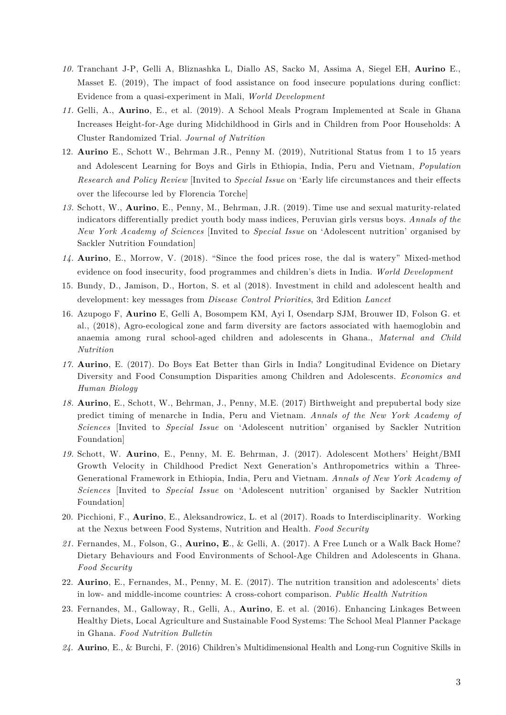- *10.* Tranchant J-P, Gelli A, Bliznashka L, Diallo AS, Sacko M, Assima A, Siegel EH, **Aurino** E., Masset E. (2019), The impact of food assistance on food insecure populations during conflict: Evidence from a quasi-experiment in Mali, *World Development*
- *11.* Gelli, A., **Aurino**, E., et al. (2019). A School Meals Program Implemented at Scale in Ghana Increases Height-for-Age during Midchildhood in Girls and in Children from Poor Households: A Cluster Randomized Trial. *Journal of Nutrition*
- 12. **Aurino** E., Schott W., Behrman J.R., Penny M. (2019), Nutritional Status from 1 to 15 years and Adolescent Learning for Boys and Girls in Ethiopia, India, Peru and Vietnam, *Population Research and Policy Review* [Invited to *Special Issue* on 'Early life circumstances and their effects over the lifecourse led by Florencia Torche]
- *13.* Schott, W., **Aurino**, E., Penny, M., Behrman, J.R. (2019). Time use and sexual maturity-related indicators differentially predict youth body mass indices, Peruvian girls versus boys. *Annals of the New York Academy of Sciences* [Invited to *Special Issue* on 'Adolescent nutrition' organised by Sackler Nutrition Foundation]
- *14.* **Aurino**, E., Morrow, V. (2018). "Since the food prices rose, the dal is watery" Mixed-method evidence on food insecurity, food programmes and children's diets in India. *World Development*
- 15. Bundy, D., Jamison, D., Horton, S. et al (2018). Investment in child and adolescent health and development: key messages from *Disease Control Priorities*, 3rd Edition *Lancet*
- 16. Azupogo F, **Aurino** E, Gelli A, Bosompem KM, Ayi I, Osendarp SJM, Brouwer ID, Folson G. et al., (2018), Agro-ecological zone and farm diversity are factors associated with haemoglobin and anaemia among rural school-aged children and adolescents in Ghana., *Maternal and Child Nutrition*
- *17.* **Aurino**, E. (2017). Do Boys Eat Better than Girls in India? Longitudinal Evidence on Dietary Diversity and Food Consumption Disparities among Children and Adolescents. *Economics and Human Biology*
- *18.* **Aurino**, E., Schott, W., Behrman, J., Penny, M.E. (2017) Birthweight and prepubertal body size predict timing of menarche in India, Peru and Vietnam. *Annals of the New York Academy of Sciences* [Invited to *Special Issue* on 'Adolescent nutrition' organised by Sackler Nutrition Foundation]
- *19.* Schott, W. **Aurino**, E., Penny, M. E. Behrman, J. (2017). Adolescent Mothers' Height/BMI Growth Velocity in Childhood Predict Next Generation's Anthropometrics within a Three-Generational Framework in Ethiopia, India, Peru and Vietnam. *Annals of New York Academy of Sciences* [Invited to *Special Issue* on 'Adolescent nutrition' organised by Sackler Nutrition Foundation]
- 20. Picchioni, F., **Aurino**, E., Aleksandrowicz, L. et al (2017). Roads to Interdisciplinarity. Working at the Nexus between Food Systems, Nutrition and Health. *Food Security*
- *21.* Fernandes, M., Folson, G., **Aurino, E**., & Gelli, A. (2017). A Free Lunch or a Walk Back Home? Dietary Behaviours and Food Environments of School-Age Children and Adolescents in Ghana. *Food Security*
- 22. **Aurino**, E., Fernandes, M., Penny, M. E. (2017). The nutrition transition and adolescents' diets in low- and middle-income countries: A cross-cohort comparison. *Public Health Nutrition*
- 23. Fernandes, M., Galloway, R., Gelli, A., **Aurino**, E. et al. (2016). Enhancing Linkages Between Healthy Diets, Local Agriculture and Sustainable Food Systems: The School Meal Planner Package in Ghana. *Food Nutrition Bulletin*
- *24.* **Aurino**, E., & Burchi, F. (2016) Children's Multidimensional Health and Long-run Cognitive Skills in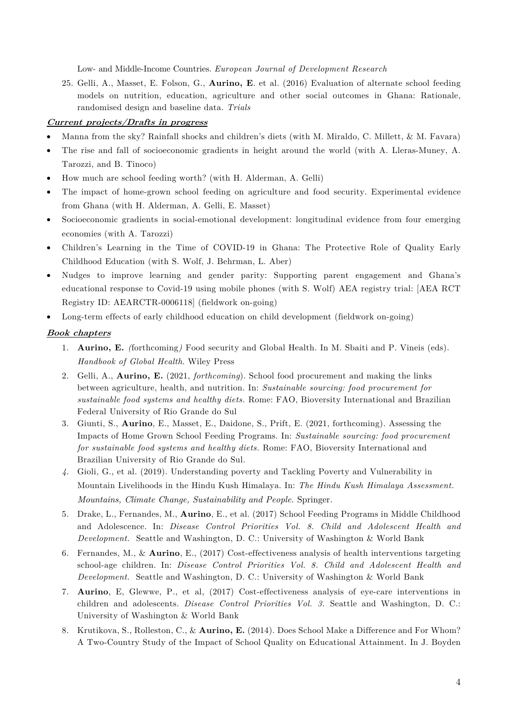Low- and Middle-Income Countries. *European Journal of Development Research* 

25. Gelli, A., Masset, E. Folson, G., **Aurino, E**. et al. (2016) Evaluation of alternate school feeding models on nutrition, education, agriculture and other social outcomes in Ghana: Rationale, randomised design and baseline data. *Trials* 

## **Current projects/Drafts in progress**

- Manna from the sky? Rainfall shocks and children's diets (with M. Miraldo, C. Millett, & M. Favara)
- The rise and fall of socioeconomic gradients in height around the world (with A. Lleras-Muney, A. Tarozzi, and B. Tinoco)
- How much are school feeding worth? (with H. Alderman, A. Gelli)
- The impact of home-grown school feeding on agriculture and food security. Experimental evidence from Ghana (with H. Alderman, A. Gelli, E. Masset)
- Socioeconomic gradients in social-emotional development: longitudinal evidence from four emerging economies (with A. Tarozzi)
- Children's Learning in the Time of COVID-19 in Ghana: The Protective Role of Quality Early Childhood Education (with S. Wolf, J. Behrman, L. Aber)
- Nudges to improve learning and gender parity: Supporting parent engagement and Ghana's educational response to Covid-19 using mobile phones (with S. Wolf) AEA registry trial: [AEA RCT Registry ID: AEARCTR-0006118] (fieldwork on-going)
- Long-term effects of early childhood education on child development (fieldwork on-going)

## **Book chapters**

- 1. **Aurino, E.** *(*forthcoming*)* Food security and Global Health. In M. Sbaiti and P. Vineis (eds). *Handbook of Global Health*. Wiley Press
- 2. Gelli, A., **Aurino, E.** (2021, *forthcoming*). School food procurement and making the links between agriculture, health, and nutrition. In: *Sustainable sourcing: food procurement for sustainable food systems and healthy diets.* Rome: FAO, Bioversity International and Brazilian Federal University of Rio Grande do Sul
- 3. Giunti, S., **Aurino**, E., Masset, E., Daidone, S., Prift, E. (2021, forthcoming). Assessing the Impacts of Home Grown School Feeding Programs. In: *Sustainable sourcing: food procurement for sustainable food systems and healthy diets.* Rome: FAO, Bioversity International and Brazilian University of Rio Grande do Sul.
- *4.* Gioli, G., et al. (2019). Understanding poverty and Tackling Poverty and Vulnerability in Mountain Livelihoods in the Hindu Kush Himalaya. In: *The Hindu Kush Himalaya Assessment. Mountains, Climate Change, Sustainability and People.* Springer.
- 5. Drake, L., Fernandes, M., **Aurino**, E., et al. (2017) School Feeding Programs in Middle Childhood and Adolescence. In: *Disease Control Priorities Vol. 8. Child and Adolescent Health and Development.* Seattle and Washington, D. C.: University of Washington & World Bank
- 6. Fernandes, M., & **Aurino**, E., (2017) Cost-effectiveness analysis of health interventions targeting school-age children. In: *Disease Control Priorities Vol. 8. Child and Adolescent Health and Development.* Seattle and Washington, D. C.: University of Washington & World Bank
- 7. **Aurino**, E, Glewwe, P., et al, (2017) Cost-effectiveness analysis of eye-care interventions in children and adolescents. *Disease Control Priorities Vol. 3.* Seattle and Washington, D. C.: University of Washington & World Bank
- 8. Krutikova, S., Rolleston, C., & **Aurino, E.** (2014). Does School Make a Difference and For Whom? A Two-Country Study of the Impact of School Quality on Educational Attainment. In J. Boyden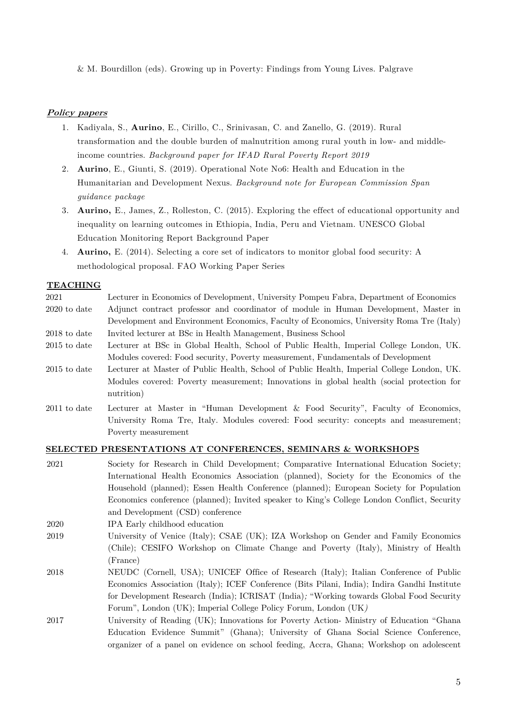& M. Bourdillon (eds). Growing up in Poverty: Findings from Young Lives. Palgrave

#### **Policy papers**

- 1. Kadiyala, S., **Aurino**, E., Cirillo, C., Srinivasan, C. and Zanello, G. (2019). Rural transformation and the double burden of malnutrition among rural youth in low- and middleincome countries. *Background paper for IFAD Rural Poverty Report 2019*
- 2. **Aurino**, E., Giunti, S. (2019). Operational Note No6: Health and Education in the Humanitarian and Development Nexus. *Background note for European Commission Span guidance package*
- 3. **Aurino,** E., James, Z., Rolleston, C. (2015). Exploring the effect of educational opportunity and inequality on learning outcomes in Ethiopia, India, Peru and Vietnam. UNESCO Global Education Monitoring Report Background Paper
- 4. **Aurino,** E. (2014). Selecting a core set of indicators to monitor global food security: A methodological proposal. FAO Working Paper Series

#### **TEACHING**

- 2021 Lecturer in Economics of Development, University Pompeu Fabra, Department of Economics 2020 to date Adjunct contract professor and coordinator of module in Human Development, Master in Development and Environment Economics, Faculty of Economics, University Roma Tre (Italy) 2018 to date Invited lecturer at BSc in Health Management, Business School
- 2015 to date Lecturer at BSc in Global Health, School of Public Health, Imperial College London, UK. Modules covered: Food security, Poverty measurement, Fundamentals of Development
- 2015 to date Lecturer at Master of Public Health, School of Public Health, Imperial College London, UK. Modules covered: Poverty measurement; Innovations in global health (social protection for nutrition)
- 2011 to date Lecturer at Master in "Human Development & Food Security", Faculty of Economics, University Roma Tre, Italy. Modules covered: Food security: concepts and measurement; Poverty measurement

#### **SELECTED PRESENTATIONS AT CONFERENCES, SEMINARS & WORKSHOPS**

- 2021 Society for Research in Child Development; Comparative International Education Society; International Health Economics Association (planned), Society for the Economics of the Household (planned); Essen Health Conference (planned); European Society for Population Economics conference (planned); Invited speaker to King's College London Conflict, Security and Development (CSD) conference
- 2020 IPA Early childhood education
- 2019 University of Venice (Italy); CSAE (UK); IZA Workshop on Gender and Family Economics (Chile); CESIFO Workshop on Climate Change and Poverty (Italy), Ministry of Health (France)
- 2018 NEUDC (Cornell, USA); UNICEF Office of Research (Italy); Italian Conference of Public Economics Association (Italy); ICEF Conference (Bits Pilani, India); Indira Gandhi Institute for Development Research (India); ICRISAT (India)*;* "Working towards Global Food Security Forum", London (UK); Imperial College Policy Forum, London (UK*)*
- 2017 University of Reading (UK); Innovations for Poverty Action- Ministry of Education "Ghana Education Evidence Summit" (Ghana); University of Ghana Social Science Conference, organizer of a panel on evidence on school feeding, Accra, Ghana; Workshop on adolescent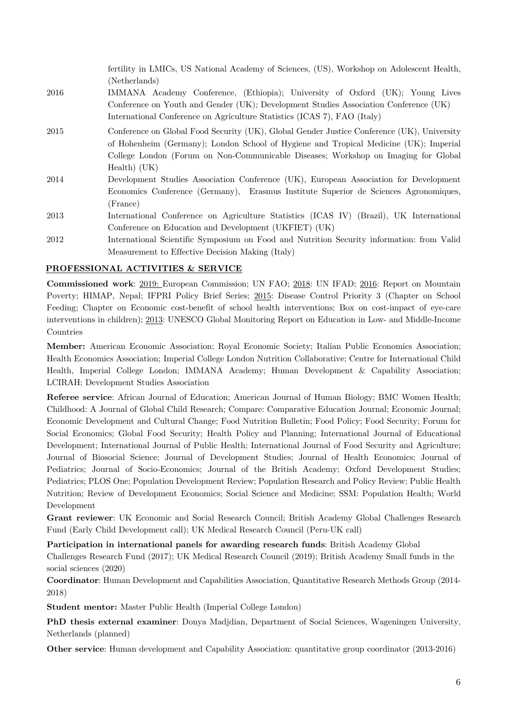fertility in LMICs, US National Academy of Sciences, (US), Workshop on Adolescent Health, (Netherlands) 2016 IMMANA Academy Conference, (Ethiopia); University of Oxford (UK); Young Lives Conference on Youth and Gender (UK); Development Studies Association Conference (UK) International Conference on Agriculture Statistics (ICAS 7), FAO (Italy) 2015 Conference on Global Food Security (UK), Global Gender Justice Conference (UK), University of Hohenheim (Germany); London School of Hygiene and Tropical Medicine (UK); Imperial College London (Forum on Non-Communicable Diseases; Workshop on Imaging for Global Health) (UK) 2014 Development Studies Association Conference (UK), European Association for Development Economics Conference (Germany), Erasmus Institute Superior de Sciences Agronomiques, (France) 2013 International Conference on Agriculture Statistics (ICAS IV) (Brazil), UK International Conference on Education and Development (UKFIET) (UK) 2012 International Scientific Symposium on Food and Nutrition Security information: from Valid Measurement to Effective Decision Making (Italy)

## **PROFESSIONAL ACTIVITIES & SERVICE**

**Commissioned work**: 2019: European Commission; UN FAO; 2018: UN IFAD; 2016: Report on Mountain Poverty; HIMAP, Nepal; IFPRI Policy Brief Series; 2015: Disease Control Priority 3 (Chapter on School Feeding; Chapter on Economic cost-benefit of school health interventions; Box on cost-impact of eye-care interventions in children); 2013: UNESCO Global Monitoring Report on Education in Low- and Middle-Income Countries

**Member:** American Economic Association; Royal Economic Society; Italian Public Economics Association; Health Economics Association; Imperial College London Nutrition Collaborative; Centre for International Child Health, Imperial College London; IMMANA Academy; Human Development & Capability Association; LCIRAH; Development Studies Association

**Referee service**: African Journal of Education; American Journal of Human Biology; BMC Women Health; Childhood: A Journal of Global Child Research; Compare: Comparative Education Journal; Economic Journal; Economic Development and Cultural Change; Food Nutrition Bulletin; Food Policy; Food Security; Forum for Social Economics; Global Food Security; Health Policy and Planning; International Journal of Educational Development; International Journal of Public Health; International Journal of Food Security and Agriculture; Journal of Biosocial Science; Journal of Development Studies; Journal of Health Economics; Journal of Pediatrics; Journal of Socio-Economics; Journal of the British Academy; Oxford Development Studies; Pediatrics; PLOS One; Population Development Review; Population Research and Policy Review; Public Health Nutrition; Review of Development Economics; Social Science and Medicine; SSM: Population Health; World Development

**Grant reviewer**: UK Economic and Social Research Council; British Academy Global Challenges Research Fund (Early Child Development call); UK Medical Research Council (Peru-UK call)

**Participation in international panels for awarding research funds**: British Academy Global Challenges Research Fund (2017); UK Medical Research Council (2019); British Academy Small funds in the social sciences (2020)

**Coordinator**: Human Development and Capabilities Association, Quantitative Research Methods Group (2014- 2018)

**Student mentor:** Master Public Health (Imperial College London)

**PhD thesis external examiner**: Donya Madjdian, Department of Social Sciences, Wageningen University, Netherlands (planned)

**Other service**: Human development and Capability Association: quantitative group coordinator (2013-2016)